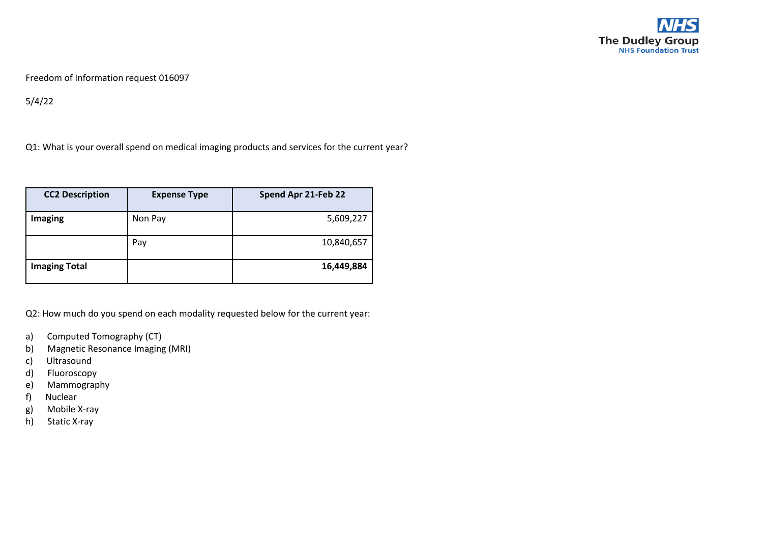

Freedom of Information request 016097

5/4/22

Q1: What is your overall spend on medical imaging products and services for the current year?

| <b>CC2 Description</b> | <b>Expense Type</b> | Spend Apr 21-Feb 22 |
|------------------------|---------------------|---------------------|
| Imaging                | Non Pay             | 5,609,227           |
|                        | Pay                 | 10,840,657          |
| <b>Imaging Total</b>   |                     | 16,449,884          |

Q2: How much do you spend on each modality requested below for the current year:

- a) Computed Tomography (CT)
- b) Magnetic Resonance Imaging (MRI)
- c) Ultrasound
- d) Fluoroscopy
- e) Mammography
- f) Nuclear
- g) Mobile X-ray
- h) Static X-ray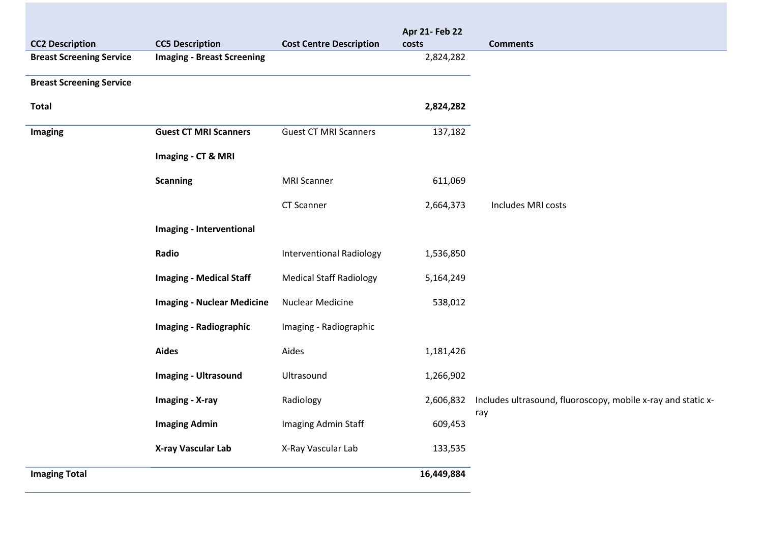| <b>CC2 Description</b>          | <b>CC5 Description</b>            | <b>Cost Centre Description</b>  | Apr 21- Feb 22<br>costs | <b>Comments</b>                                                     |
|---------------------------------|-----------------------------------|---------------------------------|-------------------------|---------------------------------------------------------------------|
| <b>Breast Screening Service</b> | <b>Imaging - Breast Screening</b> |                                 | 2,824,282               |                                                                     |
|                                 |                                   |                                 |                         |                                                                     |
| <b>Breast Screening Service</b> |                                   |                                 |                         |                                                                     |
| <b>Total</b>                    |                                   |                                 | 2,824,282               |                                                                     |
| Imaging                         | <b>Guest CT MRI Scanners</b>      | <b>Guest CT MRI Scanners</b>    | 137,182                 |                                                                     |
|                                 | Imaging - CT & MRI                |                                 |                         |                                                                     |
|                                 | <b>Scanning</b>                   | <b>MRI Scanner</b>              | 611,069                 |                                                                     |
|                                 |                                   | CT Scanner                      | 2,664,373               | Includes MRI costs                                                  |
|                                 | Imaging - Interventional          |                                 |                         |                                                                     |
|                                 | Radio                             | <b>Interventional Radiology</b> | 1,536,850               |                                                                     |
|                                 | <b>Imaging - Medical Staff</b>    | <b>Medical Staff Radiology</b>  | 5,164,249               |                                                                     |
|                                 | <b>Imaging - Nuclear Medicine</b> | <b>Nuclear Medicine</b>         | 538,012                 |                                                                     |
|                                 | <b>Imaging - Radiographic</b>     | Imaging - Radiographic          |                         |                                                                     |
|                                 | <b>Aides</b>                      | Aides                           | 1,181,426               |                                                                     |
|                                 | <b>Imaging - Ultrasound</b>       | Ultrasound                      | 1,266,902               |                                                                     |
|                                 | Imaging - X-ray                   | Radiology                       | 2,606,832               | Includes ultrasound, fluoroscopy, mobile x-ray and static x-<br>ray |
|                                 | <b>Imaging Admin</b>              | Imaging Admin Staff             | 609,453                 |                                                                     |
|                                 | X-ray Vascular Lab                | X-Ray Vascular Lab              | 133,535                 |                                                                     |
| <b>Imaging Total</b>            |                                   |                                 | 16,449,884              |                                                                     |